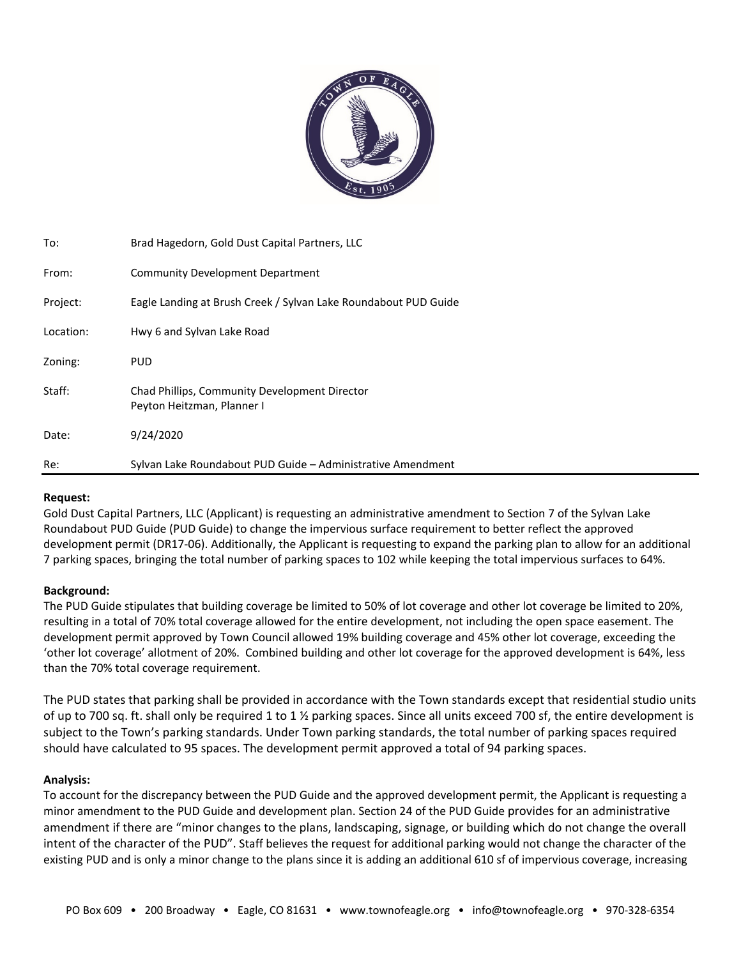

| To:       | Brad Hagedorn, Gold Dust Capital Partners, LLC                              |
|-----------|-----------------------------------------------------------------------------|
| From:     | Community Development Department                                            |
| Project:  | Eagle Landing at Brush Creek / Sylvan Lake Roundabout PUD Guide             |
| Location: | Hwy 6 and Sylvan Lake Road                                                  |
| Zoning:   | <b>PUD</b>                                                                  |
| Staff:    | Chad Phillips, Community Development Director<br>Peyton Heitzman, Planner I |
| Date:     | 9/24/2020                                                                   |
| Re:       | Sylvan Lake Roundabout PUD Guide - Administrative Amendment                 |

## **Request:**

Gold Dust Capital Partners, LLC (Applicant) is requesting an administrative amendment to Section 7 of the Sylvan Lake Roundabout PUD Guide (PUD Guide) to change the impervious surface requirement to better reflect the approved development permit (DR17-06). Additionally, the Applicant is requesting to expand the parking plan to allow for an additional 7 parking spaces, bringing the total number of parking spaces to 102 while keeping the total impervious surfaces to 64%.

# **Background:**

The PUD Guide stipulates that building coverage be limited to 50% of lot coverage and other lot coverage be limited to 20%, resulting in a total of 70% total coverage allowed for the entire development, not including the open space easement. The development permit approved by Town Council allowed 19% building coverage and 45% other lot coverage, exceeding the 'other lot coverage' allotment of 20%. Combined building and other lot coverage for the approved development is 64%, less than the 70% total coverage requirement.

The PUD states that parking shall be provided in accordance with the Town standards except that residential studio units of up to 700 sq. ft. shall only be required 1 to 1  $\frac{1}{2}$  parking spaces. Since all units exceed 700 sf, the entire development is subject to the Town's parking standards. Under Town parking standards, the total number of parking spaces required should have calculated to 95 spaces. The development permit approved a total of 94 parking spaces.

## **Analysis:**

To account for the discrepancy between the PUD Guide and the approved development permit, the Applicant is requesting a minor amendment to the PUD Guide and development plan. Section 24 of the PUD Guide provides for an administrative amendment if there are "minor changes to the plans, landscaping, signage, or building which do not change the overall intent of the character of the PUD". Staff believes the request for additional parking would not change the character of the existing PUD and is only a minor change to the plans since it is adding an additional 610 sf of impervious coverage, increasing